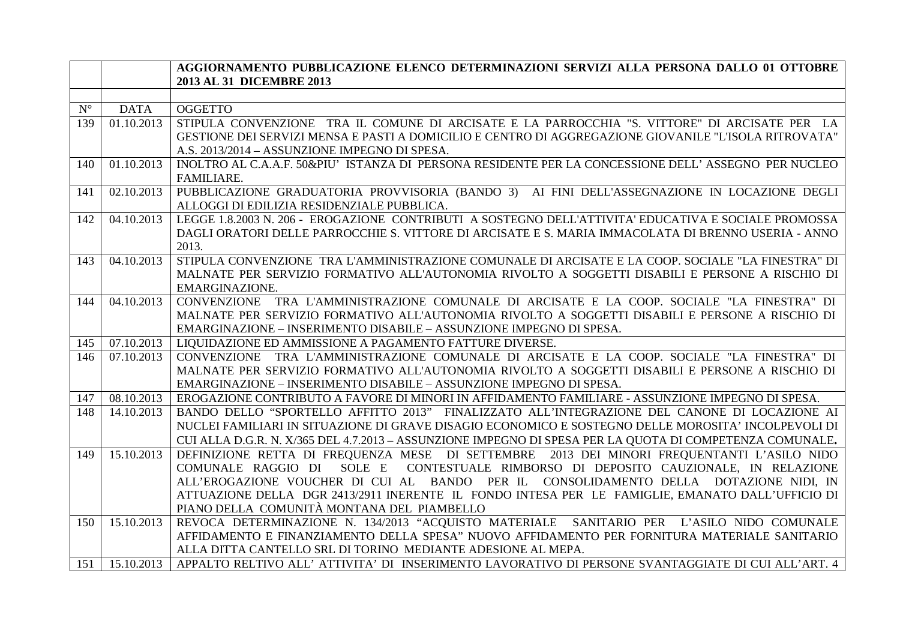|                      |             | AGGIORNAMENTO PUBBLICAZIONE ELENCO DETERMINAZIONI SERVIZI ALLA PERSONA DALLO 01 OTTOBRE                  |
|----------------------|-------------|----------------------------------------------------------------------------------------------------------|
|                      |             | 2013 AL 31 DICEMBRE 2013                                                                                 |
|                      |             |                                                                                                          |
| $\mathbf{N}^{\circ}$ | <b>DATA</b> | <b>OGGETTO</b>                                                                                           |
| 139                  | 01.10.2013  | STIPULA CONVENZIONE TRA IL COMUNE DI ARCISATE E LA PARROCCHIA "S. VITTORE" DI ARCISATE PER LA            |
|                      |             | GESTIONE DEI SERVIZI MENSA E PASTI A DOMICILIO E CENTRO DI AGGREGAZIONE GIOVANILE "L'ISOLA RITROVATA"    |
|                      |             | A.S. 2013/2014 - ASSUNZIONE IMPEGNO DI SPESA.                                                            |
| 140                  | 01.10.2013  | INOLTRO AL C.A.A.F. 50&PIU' ISTANZA DI PERSONA RESIDENTE PER LA CONCESSIONE DELL'ASSEGNO PER NUCLEO      |
|                      |             | <b>FAMILIARE.</b>                                                                                        |
| 141                  | 02.10.2013  | PUBBLICAZIONE GRADUATORIA PROVVISORIA (BANDO 3) AI FINI DELL'ASSEGNAZIONE IN LOCAZIONE DEGLI             |
|                      |             | ALLOGGI DI EDILIZIA RESIDENZIALE PUBBLICA.                                                               |
| 142                  | 04.10.2013  | LEGGE 1.8.2003 N. 206 - EROGAZIONE CONTRIBUTI A SOSTEGNO DELL'ATTIVITA' EDUCATIVA E SOCIALE PROMOSSA     |
|                      |             | DAGLI ORATORI DELLE PARROCCHIE S. VITTORE DI ARCISATE E S. MARIA IMMACOLATA DI BRENNO USERIA - ANNO      |
|                      |             | 2013.                                                                                                    |
| 143                  | 04.10.2013  | STIPULA CONVENZIONE TRA L'AMMINISTRAZIONE COMUNALE DI ARCISATE E LA COOP. SOCIALE "LA FINESTRA" DI       |
|                      |             | MALNATE PER SERVIZIO FORMATIVO ALL'AUTONOMIA RIVOLTO A SOGGETTI DISABILI E PERSONE A RISCHIO DI          |
|                      |             | EMARGINAZIONE.                                                                                           |
| 144                  | 04.10.2013  | CONVENZIONE TRA L'AMMINISTRAZIONE COMUNALE DI ARCISATE E LA COOP. SOCIALE "LA FINESTRA" DI               |
|                      |             | MALNATE PER SERVIZIO FORMATIVO ALL'AUTONOMIA RIVOLTO A SOGGETTI DISABILI E PERSONE A RISCHIO DI          |
|                      |             | EMARGINAZIONE - INSERIMENTO DISABILE - ASSUNZIONE IMPEGNO DI SPESA.                                      |
| 145                  | 07.10.2013  | LIQUIDAZIONE ED AMMISSIONE A PAGAMENTO FATTURE DIVERSE.                                                  |
| 146                  | 07.10.2013  | CONVENZIONE TRA L'AMMINISTRAZIONE COMUNALE DI ARCISATE E LA COOP. SOCIALE "LA FINESTRA" DI               |
|                      |             | MALNATE PER SERVIZIO FORMATIVO ALL'AUTONOMIA RIVOLTO A SOGGETTI DISABILI E PERSONE A RISCHIO DI          |
|                      |             | EMARGINAZIONE - INSERIMENTO DISABILE - ASSUNZIONE IMPEGNO DI SPESA.                                      |
| 147                  | 08.10.2013  | EROGAZIONE CONTRIBUTO A FAVORE DI MINORI IN AFFIDAMENTO FAMILIARE - ASSUNZIONE IMPEGNO DI SPESA.         |
| 148                  | 14.10.2013  | BANDO DELLO "SPORTELLO AFFITTO 2013" FINALIZZATO ALL'INTEGRAZIONE DEL CANONE DI LOCAZIONE AI             |
|                      |             | NUCLEI FAMILIARI IN SITUAZIONE DI GRAVE DISAGIO ECONOMICO E SOSTEGNO DELLE MOROSITA' INCOLPEVOLI DI      |
|                      |             | CUI ALLA D.G.R. N. X/365 DEL 4.7.2013 - ASSUNZIONE IMPEGNO DI SPESA PER LA QUOTA DI COMPETENZA COMUNALE. |
| 149                  | 15.10.2013  | DEFINIZIONE RETTA DI FREQUENZA MESE DI SETTEMBRE 2013 DEI MINORI FREQUENTANTI L'ASILO NIDO               |
|                      |             | SOLE E<br>CONTESTUALE RIMBORSO DI DEPOSITO CAUZIONALE, IN RELAZIONE<br>COMUNALE RAGGIO DI                |
|                      |             | ALL'EROGAZIONE VOUCHER DI CUI AL BANDO PER IL CONSOLIDAMENTO DELLA DOTAZIONE NIDI, IN                    |
|                      |             | ATTUAZIONE DELLA DGR 2413/2911 INERENTE IL FONDO INTESA PER LE FAMIGLIE, EMANATO DALL'UFFICIO DI         |
|                      |             | PIANO DELLA COMUNITÀ MONTANA DEL PIAMBELLO                                                               |
| 150                  | 15.10.2013  | REVOCA DETERMINAZIONE N. 134/2013 "ACQUISTO MATERIALE SANITARIO PER L'ASILO NIDO COMUNALE                |
|                      |             | AFFIDAMENTO E FINANZIAMENTO DELLA SPESA" NUOVO AFFIDAMENTO PER FORNITURA MATERIALE SANITARIO             |
|                      |             | ALLA DITTA CANTELLO SRL DI TORINO MEDIANTE ADESIONE AL MEPA.                                             |
| 151                  | 15.10.2013  | APPALTO RELTIVO ALL'ATTIVITA' DI INSERIMENTO LAVORATIVO DI PERSONE SVANTAGGIATE DI CUI ALL'ART. 4        |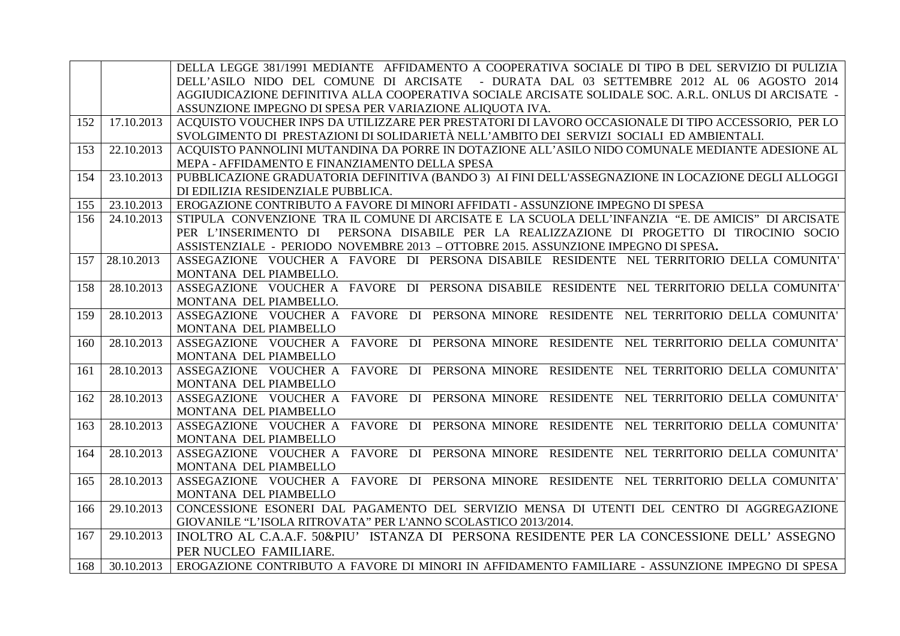|     |            | DELLA LEGGE 381/1991 MEDIANTE AFFIDAMENTO A COOPERATIVA SOCIALE DI TIPO B DEL SERVIZIO DI PULIZIA                  |
|-----|------------|--------------------------------------------------------------------------------------------------------------------|
|     |            | DELL'ASILO NIDO DEL COMUNE DI ARCISATE - DURATA DAL 03 SETTEMBRE 2012 AL 06 AGOSTO 2014                            |
|     |            | AGGIUDICAZIONE DEFINITIVA ALLA COOPERATIVA SOCIALE ARCISATE SOLIDALE SOC. A.R.L. ONLUS DI ARCISATE -               |
|     |            | ASSUNZIONE IMPEGNO DI SPESA PER VARIAZIONE ALIQUOTA IVA.                                                           |
| 152 | 17.10.2013 | ACQUISTO VOUCHER INPS DA UTILIZZARE PER PRESTATORI DI LAVORO OCCASIONALE DI TIPO ACCESSORIO, PER LO                |
|     |            | SVOLGIMENTO DI PRESTAZIONI DI SOLIDARIETÀ NELL'AMBITO DEI SERVIZI SOCIALI ED AMBIENTALI.                           |
| 153 | 22.10.2013 | ACQUISTO PANNOLINI MUTANDINA DA PORRE IN DOTAZIONE ALL'ASILO NIDO COMUNALE MEDIANTE ADESIONE AL                    |
|     |            | MEPA - AFFIDAMENTO E FINANZIAMENTO DELLA SPESA                                                                     |
| 154 | 23.10.2013 | PUBBLICAZIONE GRADUATORIA DEFINITIVA (BANDO 3) AI FINI DELL'ASSEGNAZIONE IN LOCAZIONE DEGLI ALLOGGI                |
|     |            | DI EDILIZIA RESIDENZIALE PUBBLICA.                                                                                 |
| 155 | 23.10.2013 | EROGAZIONE CONTRIBUTO A FAVORE DI MINORI AFFIDATI - ASSUNZIONE IMPEGNO DI SPESA                                    |
| 156 | 24.10.2013 | STIPULA CONVENZIONE TRA IL COMUNE DI ARCISATE E LA SCUOLA DELL'INFANZIA "E. DE AMICIS" DI ARCISATE                 |
|     |            | PERSONA DISABILE PER LA REALIZZAZIONE DI PROGETTO DI TIROCINIO SOCIO<br>PER L'INSERIMENTO DI                       |
|     |            | ASSISTENZIALE - PERIODO NOVEMBRE 2013 - OTTOBRE 2015. ASSUNZIONE IMPEGNO DI SPESA.                                 |
| 157 | 28.10.2013 | ASSEGAZIONE VOUCHER A FAVORE DI PERSONA DISABILE RESIDENTE NEL TERRITORIO DELLA COMUNITA'                          |
|     |            | MONTANA DEL PIAMBELLO.                                                                                             |
| 158 | 28.10.2013 | ASSEGAZIONE VOUCHER A FAVORE DI PERSONA DISABILE RESIDENTE NEL TERRITORIO DELLA COMUNITA'                          |
|     |            | MONTANA DEL PIAMBELLO.                                                                                             |
| 159 | 28.10.2013 | ASSEGAZIONE VOUCHER A FAVORE DI PERSONA MINORE RESIDENTE NEL TERRITORIO DELLA COMUNITA'                            |
|     |            | MONTANA DEL PIAMBELLO                                                                                              |
| 160 | 28.10.2013 | ASSEGAZIONE VOUCHER A FAVORE DI PERSONA MINORE RESIDENTE NEL TERRITORIO DELLA COMUNITA'                            |
|     |            | MONTANA DEL PIAMBELLO                                                                                              |
| 161 | 28.10.2013 | ASSEGAZIONE VOUCHER A FAVORE DI PERSONA MINORE RESIDENTE NEL TERRITORIO DELLA COMUNITA'                            |
|     |            | MONTANA DEL PIAMBELLO                                                                                              |
| 162 | 28.10.2013 | ASSEGAZIONE VOUCHER A FAVORE DI PERSONA MINORE RESIDENTE NEL TERRITORIO DELLA COMUNITA'                            |
|     |            | MONTANA DEL PIAMBELLO                                                                                              |
| 163 | 28.10.2013 | ASSEGAZIONE VOUCHER A FAVORE DI PERSONA MINORE RESIDENTE NEL TERRITORIO DELLA COMUNITA'                            |
|     |            | MONTANA DEL PIAMBELLO                                                                                              |
| 164 | 28.10.2013 | ASSEGAZIONE VOUCHER A FAVORE DI PERSONA MINORE RESIDENTE NEL TERRITORIO DELLA COMUNITA'                            |
|     | 28.10.2013 | MONTANA DEL PIAMBELLO<br>ASSEGAZIONE VOUCHER A FAVORE DI PERSONA MINORE RESIDENTE NEL TERRITORIO DELLA COMUNITA'   |
| 165 |            |                                                                                                                    |
| 166 | 29.10.2013 | MONTANA DEL PIAMBELLO<br>CONCESSIONE ESONERI DAL PAGAMENTO DEL SERVIZIO MENSA DI UTENTI DEL CENTRO DI AGGREGAZIONE |
|     |            | GIOVANILE "L'ISOLA RITROVATA" PER L'ANNO SCOLASTICO 2013/2014.                                                     |
| 167 | 29.10.2013 | INOLTRO AL C.A.A.F. 50&PIU' ISTANZA DI PERSONA RESIDENTE PER LA CONCESSIONE DELL'ASSEGNO                           |
|     |            |                                                                                                                    |
|     |            | PER NUCLEO FAMILIARE.                                                                                              |
| 168 | 30.10.2013 | EROGAZIONE CONTRIBUTO A FAVORE DI MINORI IN AFFIDAMENTO FAMILIARE - ASSUNZIONE IMPEGNO DI SPESA                    |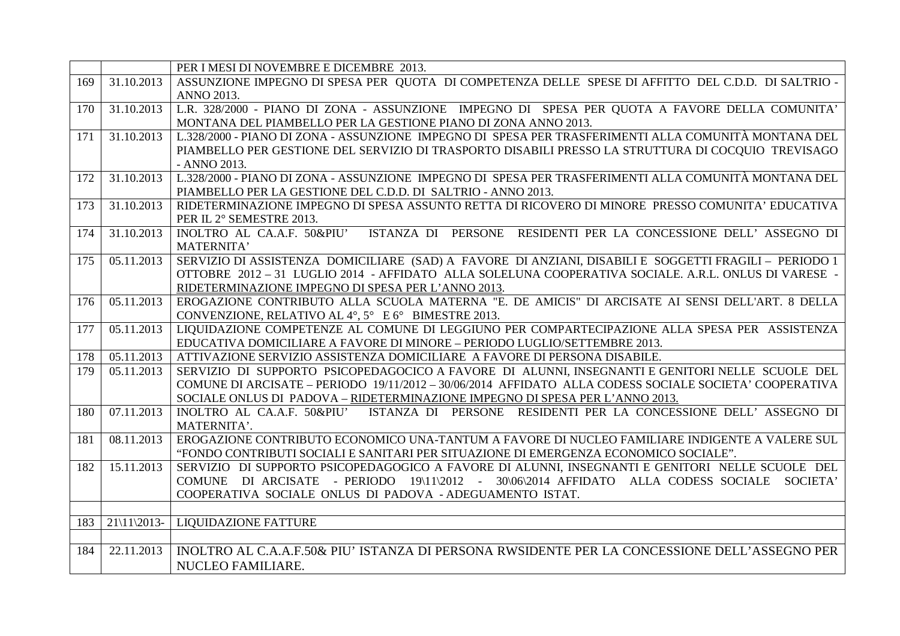| ASSUNZIONE IMPEGNO DI SPESA PER QUOTA DI COMPETENZA DELLE SPESE DI AFFITTO DEL C.D.D. DI SALTRIO -<br>31.10.2013<br>169<br><b>ANNO 2013.</b><br>L.R. 328/2000 - PIANO DI ZONA - ASSUNZIONE IMPEGNO DI SPESA PER QUOTA A FAVORE DELLA COMUNITA'<br>31.10.2013<br>170<br>MONTANA DEL PIAMBELLO PER LA GESTIONE PIANO DI ZONA ANNO 2013.<br>L.328/2000 - PIANO DI ZONA - ASSUNZIONE IMPEGNO DI SPESA PER TRASFERIMENTI ALLA COMUNITÀ MONTANA DEL<br>31.10.2013<br>171 |  |
|--------------------------------------------------------------------------------------------------------------------------------------------------------------------------------------------------------------------------------------------------------------------------------------------------------------------------------------------------------------------------------------------------------------------------------------------------------------------|--|
|                                                                                                                                                                                                                                                                                                                                                                                                                                                                    |  |
|                                                                                                                                                                                                                                                                                                                                                                                                                                                                    |  |
|                                                                                                                                                                                                                                                                                                                                                                                                                                                                    |  |
|                                                                                                                                                                                                                                                                                                                                                                                                                                                                    |  |
|                                                                                                                                                                                                                                                                                                                                                                                                                                                                    |  |
| PIAMBELLO PER GESTIONE DEL SERVIZIO DI TRASPORTO DISABILI PRESSO LA STRUTTURA DI COCQUIO TREVISAGO                                                                                                                                                                                                                                                                                                                                                                 |  |
| - ANNO 2013.                                                                                                                                                                                                                                                                                                                                                                                                                                                       |  |
| L.328/2000 - PIANO DI ZONA - ASSUNZIONE IMPEGNO DI SPESA PER TRASFERIMENTI ALLA COMUNITÀ MONTANA DEL<br>172<br>31.10.2013                                                                                                                                                                                                                                                                                                                                          |  |
| PIAMBELLO PER LA GESTIONE DEL C.D.D. DI SALTRIO - ANNO 2013.                                                                                                                                                                                                                                                                                                                                                                                                       |  |
| RIDETERMINAZIONE IMPEGNO DI SPESA ASSUNTO RETTA DI RICOVERO DI MINORE PRESSO COMUNITA' EDUCATIVA<br>$\overline{31.10.2013}$<br>173                                                                                                                                                                                                                                                                                                                                 |  |
| PER IL 2° SEMESTRE 2013.                                                                                                                                                                                                                                                                                                                                                                                                                                           |  |
| 31.10.2013<br>INOLTRO AL CA.A.F. 50&PIU'<br>ISTANZA DI PERSONE RESIDENTI PER LA CONCESSIONE DELL'ASSEGNO DI<br>174                                                                                                                                                                                                                                                                                                                                                 |  |
| <b>MATERNITA'</b>                                                                                                                                                                                                                                                                                                                                                                                                                                                  |  |
| SERVIZIO DI ASSISTENZA DOMICILIARE (SAD) A FAVORE DI ANZIANI, DISABILI E SOGGETTI FRAGILI - PERIODO 1<br>175<br>05.11.2013                                                                                                                                                                                                                                                                                                                                         |  |
| OTTOBRE 2012 - 31 LUGLIO 2014 - AFFIDATO ALLA SOLELUNA COOPERATIVA SOCIALE. A.R.L. ONLUS DI VARESE -                                                                                                                                                                                                                                                                                                                                                               |  |
| RIDETERMINAZIONE IMPEGNO DI SPESA PER L'ANNO 2013.                                                                                                                                                                                                                                                                                                                                                                                                                 |  |
| EROGAZIONE CONTRIBUTO ALLA SCUOLA MATERNA "E. DE AMICIS" DI ARCISATE AI SENSI DELL'ART. 8 DELLA<br>05.11.2013<br>176                                                                                                                                                                                                                                                                                                                                               |  |
| CONVENZIONE, RELATIVO AL $4^\circ$ , $5^\circ$ E $6^\circ$ BIMESTRE 2013.<br>LIQUIDAZIONE COMPETENZE AL COMUNE DI LEGGIUNO PER COMPARTECIPAZIONE ALLA SPESA PER ASSISTENZA<br>05.11.2013<br>177                                                                                                                                                                                                                                                                    |  |
| EDUCATIVA DOMICILIARE A FAVORE DI MINORE - PERIODO LUGLIO/SETTEMBRE 2013.                                                                                                                                                                                                                                                                                                                                                                                          |  |
| 05.11.2013<br>178<br>ATTIVAZIONE SERVIZIO ASSISTENZA DOMICILIARE A FAVORE DI PERSONA DISABILE.                                                                                                                                                                                                                                                                                                                                                                     |  |
| SERVIZIO DI SUPPORTO PSICOPEDAGOCICO A FAVORE DI ALUNNI, INSEGNANTI E GENITORI NELLE SCUOLE DEL<br>179<br>05.11.2013                                                                                                                                                                                                                                                                                                                                               |  |
| COMUNE DI ARCISATE – PERIODO 19/11/2012 – 30/06/2014 AFFIDATO ALLA CODESS SOCIALE SOCIETA' COOPERATIVA                                                                                                                                                                                                                                                                                                                                                             |  |
| SOCIALE ONLUS DI PADOVA - RIDETERMINAZIONE IMPEGNO DI SPESA PER L'ANNO 2013.                                                                                                                                                                                                                                                                                                                                                                                       |  |
| 07.11.2013<br>INOLTRO AL CA.A.F. 50&PIU' ISTANZA DI PERSONE RESIDENTI PER LA CONCESSIONE DELL'ASSEGNO DI<br>180                                                                                                                                                                                                                                                                                                                                                    |  |
| MATERNITA'.                                                                                                                                                                                                                                                                                                                                                                                                                                                        |  |
| 08.11.2013<br>EROGAZIONE CONTRIBUTO ECONOMICO UNA-TANTUM A FAVORE DI NUCLEO FAMILIARE INDIGENTE A VALERE SUL<br>181                                                                                                                                                                                                                                                                                                                                                |  |
| "FONDO CONTRIBUTI SOCIALI E SANITARI PER SITUAZIONE DI EMERGENZA ECONOMICO SOCIALE".                                                                                                                                                                                                                                                                                                                                                                               |  |
| SERVIZIO DI SUPPORTO PSICOPEDAGOGICO A FAVORE DI ALUNNI, INSEGNANTI E GENITORI NELLE SCUOLE DEL<br>15.11.2013<br>182                                                                                                                                                                                                                                                                                                                                               |  |
| COMUNE DI ARCISATE - PERIODO 19\11\2012 - 30\06\2014 AFFIDATO ALLA CODESS SOCIALE SOCIETA'                                                                                                                                                                                                                                                                                                                                                                         |  |
| COOPERATIVA SOCIALE ONLUS DI PADOVA - ADEGUAMENTO ISTAT.                                                                                                                                                                                                                                                                                                                                                                                                           |  |
|                                                                                                                                                                                                                                                                                                                                                                                                                                                                    |  |
| 183<br>$21\frac{1}{2013}$ -<br><b>LIQUIDAZIONE FATTURE</b>                                                                                                                                                                                                                                                                                                                                                                                                         |  |
|                                                                                                                                                                                                                                                                                                                                                                                                                                                                    |  |
| 184<br>INOLTRO AL C.A.A.F.50& PIU' ISTANZA DI PERSONA RWSIDENTE PER LA CONCESSIONE DELL'ASSEGNO PER<br>22.11.2013                                                                                                                                                                                                                                                                                                                                                  |  |
| <b>NUCLEO FAMILIARE.</b>                                                                                                                                                                                                                                                                                                                                                                                                                                           |  |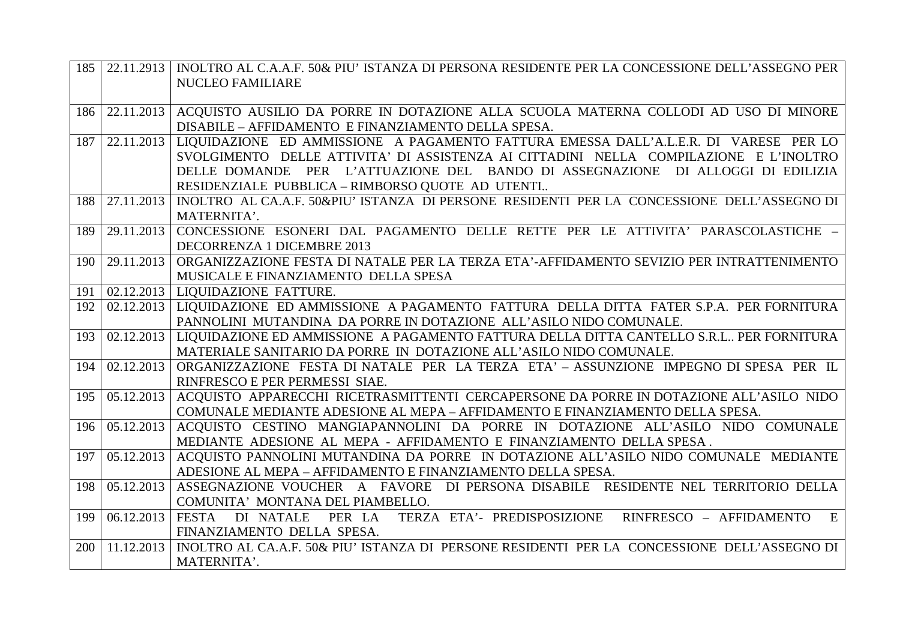| 185 |            | 22.11.2913   INOLTRO AL C.A.A.F. 50& PIU' ISTANZA DI PERSONA RESIDENTE PER LA CONCESSIONE DELL'ASSEGNO PER                       |
|-----|------------|----------------------------------------------------------------------------------------------------------------------------------|
|     |            | <b>NUCLEO FAMILIARE</b>                                                                                                          |
|     |            |                                                                                                                                  |
| 186 |            | 22.11.2013 ACQUISTO AUSILIO DA PORRE IN DOTAZIONE ALLA SCUOLA MATERNA COLLODI AD USO DI MINORE                                   |
|     |            | DISABILE - AFFIDAMENTO E FINANZIAMENTO DELLA SPESA.                                                                              |
| 187 |            | 22.11.2013   LIQUIDAZIONE ED AMMISSIONE A PAGAMENTO FATTURA EMESSA DALL'A.L.E.R. DI VARESE PER LO                                |
|     |            | SVOLGIMENTO DELLE ATTIVITA' DI ASSISTENZA AI CITTADINI NELLA COMPILAZIONE E L'INOLTRO                                            |
|     |            | DELLE DOMANDE PER L'ATTUAZIONE DEL BANDO DI ASSEGNAZIONE DI ALLOGGI DI EDILIZIA                                                  |
|     |            | RESIDENZIALE PUBBLICA - RIMBORSO QUOTE AD UTENTI                                                                                 |
| 188 |            | 27.11.2013   INOLTRO AL CA.A.F. 50&PIU' ISTANZA DI PERSONE RESIDENTI PER LA CONCESSIONE DELL'ASSEGNO DI                          |
|     |            | MATERNITA'.                                                                                                                      |
| 189 |            | 29.11.2013 CONCESSIONE ESONERI DAL PAGAMENTO DELLE RETTE PER LE ATTIVITA' PARASCOLASTICHE -                                      |
|     | 29.11.2013 | DECORRENZA 1 DICEMBRE 2013                                                                                                       |
| 190 |            | ORGANIZZAZIONE FESTA DI NATALE PER LA TERZA ETA'-AFFIDAMENTO SEVIZIO PER INTRATTENIMENTO<br>MUSICALE E FINANZIAMENTO DELLA SPESA |
| 191 |            | 02.12.2013   LIOUIDAZIONE FATTURE.                                                                                               |
| 192 |            | 02.12.2013 LIQUIDAZIONE ED AMMISSIONE A PAGAMENTO FATTURA DELLA DITTA FATER S.P.A. PER FORNITURA                                 |
|     |            | PANNOLINI MUTANDINA DA PORRE IN DOTAZIONE ALL'ASILO NIDO COMUNALE.                                                               |
| 193 |            | 02.12.2013   LIQUIDAZIONE ED AMMISSIONE A PAGAMENTO FATTURA DELLA DITTA CANTELLO S.R.L PER FORNITURA                             |
|     |            | MATERIALE SANITARIO DA PORRE IN DOTAZIONE ALL'ASILO NIDO COMUNALE.                                                               |
| 194 | 02.12.2013 | ORGANIZZAZIONE FESTA DI NATALE PER LA TERZA ETA' - ASSUNZIONE IMPEGNO DI SPESA PER IL                                            |
|     |            | RINFRESCO E PER PERMESSI SIAE.                                                                                                   |
| 195 | 05.12.2013 | ACQUISTO APPARECCHI RICETRASMITTENTI CERCAPERSONE DA PORRE IN DOTAZIONE ALL'ASILO NIDO                                           |
|     |            | COMUNALE MEDIANTE ADESIONE AL MEPA - AFFIDAMENTO E FINANZIAMENTO DELLA SPESA.                                                    |
| 196 |            | 05.12.2013 ACQUISTO CESTINO MANGIAPANNOLINI DA PORRE IN DOTAZIONE ALL'ASILO NIDO COMUNALE                                        |
|     |            | MEDIANTE ADESIONE AL MEPA - AFFIDAMENTO E FINANZIAMENTO DELLA SPESA.                                                             |
| 197 |            | 05.12.2013   ACQUISTO PANNOLINI MUTANDINA DA PORRE IN DOTAZIONE ALL'ASILO NIDO COMUNALE MEDIANTE                                 |
|     |            | ADESIONE AL MEPA - AFFIDAMENTO E FINANZIAMENTO DELLA SPESA.                                                                      |
| 198 |            | 05.12.2013   ASSEGNAZIONE VOUCHER A FAVORE DI PERSONA DISABILE RESIDENTE NEL TERRITORIO DELLA                                    |
|     |            | COMUNITA' MONTANA DEL PIAMBELLO.                                                                                                 |
| 199 | 06.12.2013 | PER LA TERZA ETA'- PREDISPOSIZIONE<br>RINFRESCO - AFFIDAMENTO<br>E<br><b>FESTA</b><br>DI NATALE                                  |
|     |            | FINANZIAMENTO DELLA SPESA.                                                                                                       |
| 200 | 11.12.2013 | INOLTRO AL CA.A.F. 50& PIU' ISTANZA DI PERSONE RESIDENTI PER LA CONCESSIONE DELL'ASSEGNO DI                                      |
|     |            | MATERNITA'.                                                                                                                      |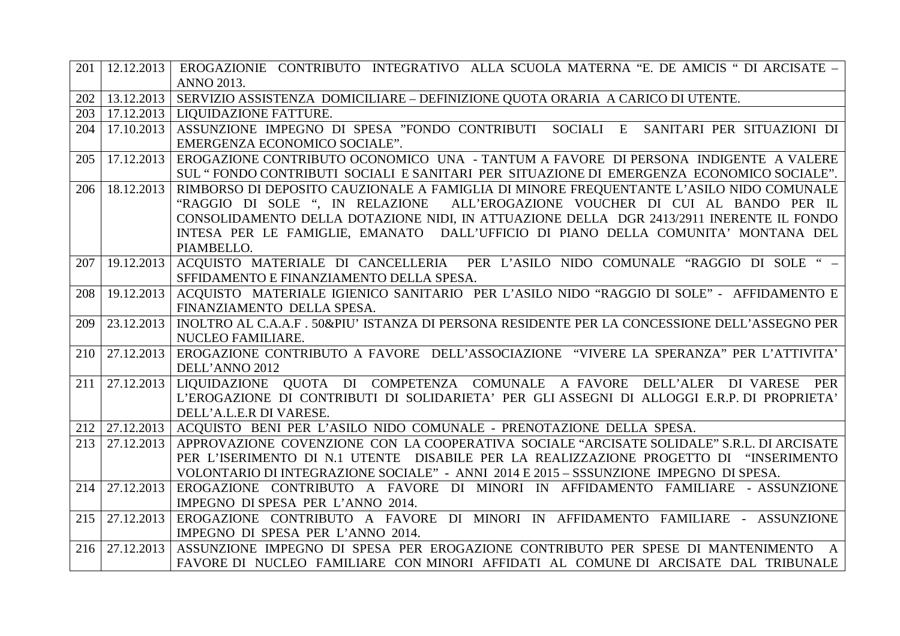| 201 |            | 12.12.2013   EROGAZIONIE CONTRIBUTO INTEGRATIVO ALLA SCUOLA MATERNA "E. DE AMICIS " DI ARCISATE –         |
|-----|------------|-----------------------------------------------------------------------------------------------------------|
|     |            | <b>ANNO 2013.</b>                                                                                         |
| 202 | 13.12.2013 | SERVIZIO ASSISTENZA DOMICILIARE – DEFINIZIONE QUOTA ORARIA A CARICO DI UTENTE.                            |
| 203 |            | 17.12.2013   LIQUIDAZIONE FATTURE.                                                                        |
| 204 | 17.10.2013 | ASSUNZIONE IMPEGNO DI SPESA "FONDO CONTRIBUTI SOCIALI E SANITARI PER SITUAZIONI DI                        |
|     |            | EMERGENZA ECONOMICO SOCIALE".                                                                             |
| 205 | 17.12.2013 | EROGAZIONE CONTRIBUTO OCONOMICO UNA - TANTUM A FAVORE DI PERSONA INDIGENTE A VALERE                       |
|     |            | SUL "FONDO CONTRIBUTI SOCIALI E SANITARI PER SITUAZIONE DI EMERGENZA ECONOMICO SOCIALE".                  |
| 206 | 18.12.2013 | RIMBORSO DI DEPOSITO CAUZIONALE A FAMIGLIA DI MINORE FREQUENTANTE L'ASILO NIDO COMUNALE                   |
|     |            | "RAGGIO DI SOLE ", IN RELAZIONE ALL'EROGAZIONE VOUCHER DI CUI AL BANDO PER IL                             |
|     |            | CONSOLIDAMENTO DELLA DOTAZIONE NIDI, IN ATTUAZIONE DELLA DGR 2413/2911 INERENTE IL FONDO                  |
|     |            | INTESA PER LE FAMIGLIE, EMANATO DALL'UFFICIO DI PIANO DELLA COMUNITA' MONTANA DEL                         |
|     |            | PIAMBELLO.                                                                                                |
| 207 |            | 19.12.2013 ACQUISTO MATERIALE DI CANCELLERIA PER L'ASILO NIDO COMUNALE "RAGGIO DI SOLE " -                |
|     |            | SFFIDAMENTO E FINANZIAMENTO DELLA SPESA.                                                                  |
| 208 | 19.12.2013 | ACQUISTO MATERIALE IGIENICO SANITARIO PER L'ASILO NIDO "RAGGIO DI SOLE" - AFFIDAMENTO E                   |
|     |            | FINANZIAMENTO DELLA SPESA.                                                                                |
| 209 |            | 23.12.2013   INOLTRO AL C.A.A.F. 50&PIU' ISTANZA DI PERSONA RESIDENTE PER LA CONCESSIONE DELL'ASSEGNO PER |
|     |            | NUCLEO FAMILIARE.                                                                                         |
| 210 | 27.12.2013 | EROGAZIONE CONTRIBUTO A FAVORE DELL'ASSOCIAZIONE "VIVERE LA SPERANZA" PER L'ATTIVITA'                     |
|     |            | DELL'ANNO 2012                                                                                            |
| 211 | 27.12.2013 | LIQUIDAZIONE QUOTA DI COMPETENZA COMUNALE A FAVORE DELL'ALER DI VARESE PER                                |
|     |            | L'EROGAZIONE DI CONTRIBUTI DI SOLIDARIETA' PER GLI ASSEGNI DI ALLOGGI E.R.P. DI PROPRIETA'                |
| 212 |            | DELL'A.L.E.R DI VARESE.<br>27.12.2013 ACQUISTO BENI PER L'ASILO NIDO COMUNALE - PRENOTAZIONE DELLA SPESA. |
| 213 | 27.12.2013 | APPROVAZIONE COVENZIONE CON LA COOPERATIVA SOCIALE "ARCISATE SOLIDALE" S.R.L. DI ARCISATE                 |
|     |            | PER L'ISERIMENTO DI N.1 UTENTE DISABILE PER LA REALIZZAZIONE PROGETTO DI "INSERIMENTO                     |
|     |            | VOLONTARIO DI INTEGRAZIONE SOCIALE" - ANNI 2014 E 2015 – SSSUNZIONE IMPEGNO DI SPESA.                     |
| 214 | 27.12.2013 | EROGAZIONE CONTRIBUTO A FAVORE DI MINORI IN AFFIDAMENTO FAMILIARE - ASSUNZIONE                            |
|     |            | IMPEGNO DI SPESA PER L'ANNO 2014.                                                                         |
| 215 | 27.12.2013 | EROGAZIONE CONTRIBUTO A FAVORE DI MINORI IN AFFIDAMENTO FAMILIARE - ASSUNZIONE                            |
|     |            | IMPEGNO DI SPESA PER L'ANNO 2014.                                                                         |
| 216 | 27.12.2013 | ASSUNZIONE IMPEGNO DI SPESA PER EROGAZIONE CONTRIBUTO PER SPESE DI MANTENIMENTO A                         |
|     |            | FAVORE DI NUCLEO FAMILIARE CON MINORI AFFIDATI AL COMUNE DI ARCISATE DAL TRIBUNALE                        |
|     |            |                                                                                                           |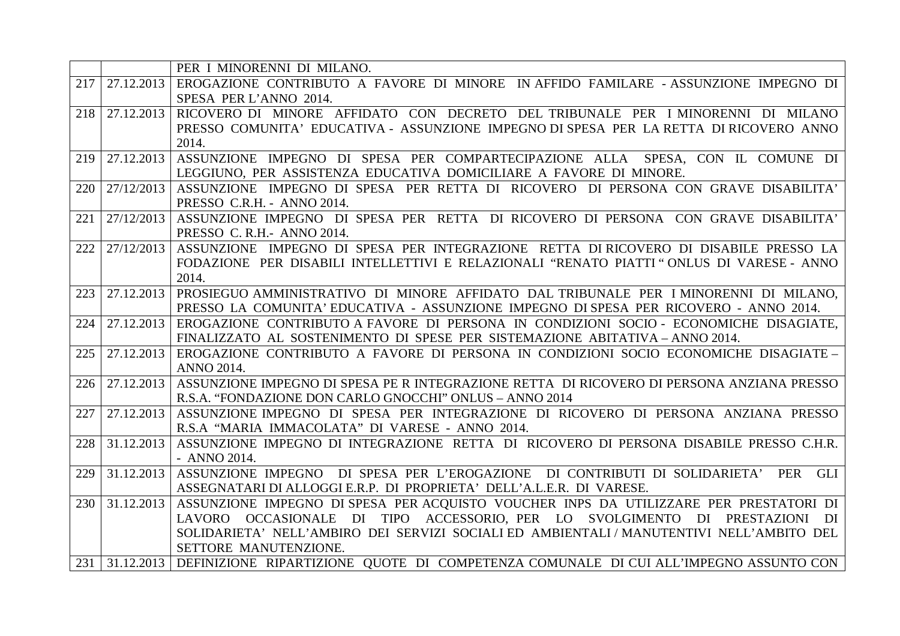|     |            | PER I MINORENNI DI MILANO.                                                                          |
|-----|------------|-----------------------------------------------------------------------------------------------------|
| 217 | 27.12.2013 | EROGAZIONE CONTRIBUTO A FAVORE DI MINORE IN AFFIDO FAMILARE - ASSUNZIONE IMPEGNO DI                 |
|     |            | SPESA PER L'ANNO 2014.                                                                              |
| 218 | 27.12.2013 | RICOVERO DI MINORE AFFIDATO CON DECRETO DEL TRIBUNALE PER I MINORENNI DI MILANO                     |
|     |            | PRESSO COMUNITA' EDUCATIVA - ASSUNZIONE IMPEGNO DI SPESA PER LA RETTA DI RICOVERO ANNO              |
|     |            | 2014.                                                                                               |
| 219 | 27.12.2013 | ASSUNZIONE IMPEGNO DI SPESA PER COMPARTECIPAZIONE ALLA SPESA, CON IL COMUNE DI                      |
|     |            | LEGGIUNO, PER ASSISTENZA EDUCATIVA DOMICILIARE A FAVORE DI MINORE.                                  |
| 220 |            | 27/12/2013 ASSUNZIONE IMPEGNO DI SPESA PER RETTA DI RICOVERO DI PERSONA CON GRAVE DISABILITA'       |
|     |            | PRESSO C.R.H. - ANNO 2014.                                                                          |
| 221 |            | 27/12/2013 ASSUNZIONE IMPEGNO DI SPESA PER RETTA DI RICOVERO DI PERSONA CON GRAVE DISABILITA'       |
|     |            | PRESSO C. R.H.- ANNO 2014.                                                                          |
| 222 | 27/12/2013 | ASSUNZIONE IMPEGNO DI SPESA PER INTEGRAZIONE RETTA DI RICOVERO DI DISABILE PRESSO LA                |
|     |            | FODAZIONE PER DISABILI INTELLETTIVI E RELAZIONALI "RENATO PIATTI" ONLUS DI VARESE - ANNO            |
|     |            | 2014.                                                                                               |
| 223 | 27.12.2013 | PROSIEGUO AMMINISTRATIVO DI MINORE AFFIDATO DAL TRIBUNALE PER I MINORENNI DI MILANO,                |
|     |            | PRESSO LA COMUNITA' EDUCATIVA - ASSUNZIONE IMPEGNO DI SPESA PER RICOVERO - ANNO 2014.               |
| 224 | 27.12.2013 | EROGAZIONE CONTRIBUTO A FAVORE DI PERSONA IN CONDIZIONI SOCIO - ECONOMICHE DISAGIATE,               |
|     |            | FINALIZZATO AL SOSTENIMENTO DI SPESE PER SISTEMAZIONE ABITATIVA - ANNO 2014.                        |
| 225 | 27.12.2013 | EROGAZIONE CONTRIBUTO A FAVORE DI PERSONA IN CONDIZIONI SOCIO ECONOMICHE DISAGIATE -                |
|     |            | <b>ANNO 2014.</b>                                                                                   |
| 226 | 27.12.2013 | ASSUNZIONE IMPEGNO DI SPESA PE R INTEGRAZIONE RETTA DI RICOVERO DI PERSONA ANZIANA PRESSO           |
|     |            | R.S.A. "FONDAZIONE DON CARLO GNOCCHI" ONLUS - ANNO 2014                                             |
| 227 | 27.12.2013 | ASSUNZIONE IMPEGNO DI SPESA PER INTEGRAZIONE DI RICOVERO DI PERSONA ANZIANA PRESSO                  |
|     |            | R.S.A "MARIA IMMACOLATA" DI VARESE - ANNO 2014.                                                     |
| 228 | 31.12.2013 | ASSUNZIONE IMPEGNO DI INTEGRAZIONE RETTA DI RICOVERO DI PERSONA DISABILE PRESSO C.H.R.              |
|     |            | - ANNO 2014.                                                                                        |
| 229 | 31.12.2013 | ASSUNZIONE IMPEGNO DI SPESA PER L'EROGAZIONE DI CONTRIBUTI DI SOLIDARIETA' PER GLI                  |
|     |            | ASSEGNATARI DI ALLOGGI E.R.P. DI PROPRIETA' DELL'A.L.E.R. DI VARESE.                                |
| 230 |            | 31.12.2013 ASSUNZIONE IMPEGNO DI SPESA PER ACQUISTO VOUCHER INPS DA UTILIZZARE PER PRESTATORI DI    |
|     |            | LAVORO OCCASIONALE DI TIPO ACCESSORIO, PER LO SVOLGIMENTO DI PRESTAZIONI DI                         |
|     |            | SOLIDARIETA' NELL'AMBIRO DEI SERVIZI SOCIALI ED AMBIENTALI / MANUTENTIVI NELL'AMBITO DEL            |
|     |            | SETTORE MANUTENZIONE.                                                                               |
|     |            | 231 31.12.2013 DEFINIZIONE RIPARTIZIONE QUOTE DI COMPETENZA COMUNALE DI CUI ALL'IMPEGNO ASSUNTO CON |